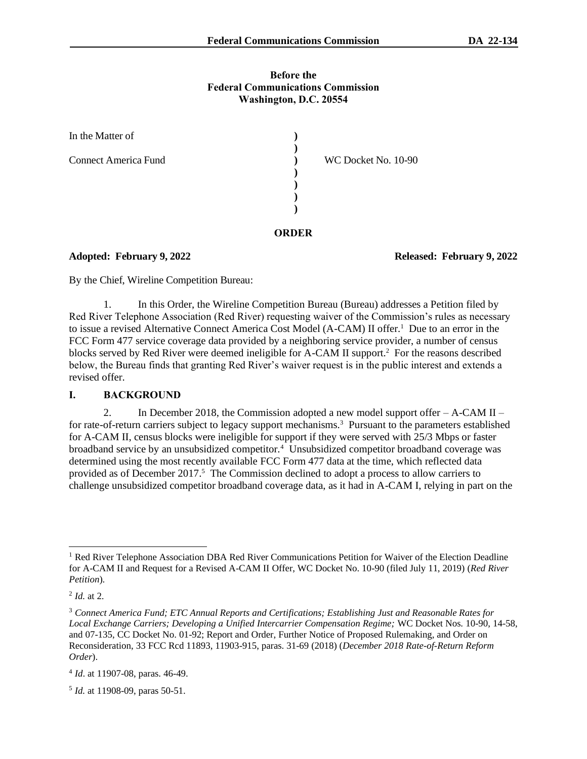### **Before the Federal Communications Commission Washington, D.C. 20554**

| In the Matter of            |                     |
|-----------------------------|---------------------|
| <b>Connect America Fund</b> | WC Docket No. 10-90 |
|                             |                     |
|                             |                     |

**Adopted: February 9, 2022 Released: February 9, 2022**

By the Chief, Wireline Competition Bureau:

1. In this Order, the Wireline Competition Bureau (Bureau) addresses a Petition filed by Red River Telephone Association (Red River) requesting waiver of the Commission's rules as necessary to issue a revised Alternative Connect America Cost Model (A-CAM) II offer.<sup>1</sup> Due to an error in the FCC Form 477 service coverage data provided by a neighboring service provider, a number of census blocks served by Red River were deemed ineligible for A-CAM II support.<sup>2</sup> For the reasons described below, the Bureau finds that granting Red River's waiver request is in the public interest and extends a revised offer.

**ORDER**

# **I. BACKGROUND**

2. In December 2018, the Commission adopted a new model support offer – A-CAM II – for rate-of-return carriers subject to legacy support mechanisms.<sup>3</sup> Pursuant to the parameters established for A-CAM II, census blocks were ineligible for support if they were served with 25/3 Mbps or faster broadband service by an unsubsidized competitor.<sup>4</sup> Unsubsidized competitor broadband coverage was determined using the most recently available FCC Form 477 data at the time, which reflected data provided as of December 2017.<sup>5</sup> The Commission declined to adopt a process to allow carriers to challenge unsubsidized competitor broadband coverage data, as it had in A-CAM I, relying in part on the

<sup>&</sup>lt;sup>1</sup> Red River Telephone Association DBA Red River Communications Petition for Waiver of the Election Deadline for A-CAM II and Request for a Revised A-CAM II Offer, WC Docket No. 10-90 (filed July 11, 2019) (*Red River Petition*).

<sup>2</sup> *Id.* at 2.

<sup>3</sup> *Connect America Fund; ETC Annual Reports and Certifications; Establishing Just and Reasonable Rates for Local Exchange Carriers; Developing a Unified Intercarrier Compensation Regime;* WC Docket Nos. 10-90, 14-58, and 07-135, CC Docket No. 01-92; Report and Order, Further Notice of Proposed Rulemaking, and Order on Reconsideration, 33 FCC Rcd 11893, 11903-915, paras. 31-69 (2018) (*December 2018 Rate-of-Return Reform Order*).

<sup>4</sup> *Id*. at 11907-08, paras. 46-49.

<sup>5</sup> *Id.* at 11908-09, paras 50-51.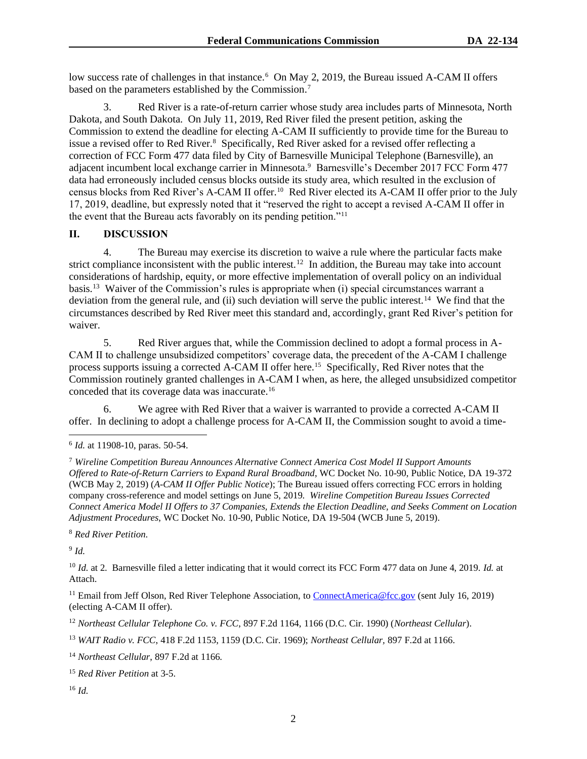low success rate of challenges in that instance.<sup>6</sup> On May 2, 2019, the Bureau issued A-CAM II offers based on the parameters established by the Commission.<sup>7</sup>

3. Red River is a rate-of-return carrier whose study area includes parts of Minnesota, North Dakota, and South Dakota. On July 11, 2019, Red River filed the present petition, asking the Commission to extend the deadline for electing A-CAM II sufficiently to provide time for the Bureau to issue a revised offer to Red River.<sup>8</sup> Specifically, Red River asked for a revised offer reflecting a correction of FCC Form 477 data filed by City of Barnesville Municipal Telephone (Barnesville), an adjacent incumbent local exchange carrier in Minnesota.<sup>9</sup> Barnesville's December 2017 FCC Form 477 data had erroneously included census blocks outside its study area, which resulted in the exclusion of census blocks from Red River's A-CAM II offer.<sup>10</sup> Red River elected its A-CAM II offer prior to the July 17, 2019, deadline, but expressly noted that it "reserved the right to accept a revised A-CAM II offer in the event that the Bureau acts favorably on its pending petition."<sup>11</sup>

## **II. DISCUSSION**

4. The Bureau may exercise its discretion to waive a rule where the particular facts make strict compliance inconsistent with the public interest.<sup>12</sup> In addition, the Bureau may take into account considerations of hardship, equity, or more effective implementation of overall policy on an individual basis.<sup>13</sup> Waiver of the Commission's rules is appropriate when (i) special circumstances warrant a deviation from the general rule, and (ii) such deviation will serve the public interest.<sup>14</sup> We find that the circumstances described by Red River meet this standard and, accordingly, grant Red River's petition for waiver.

5. Red River argues that, while the Commission declined to adopt a formal process in A-CAM II to challenge unsubsidized competitors' coverage data, the precedent of the A-CAM I challenge process supports issuing a corrected A-CAM II offer here.<sup>15</sup> Specifically, Red River notes that the Commission routinely granted challenges in A-CAM I when, as here, the alleged unsubsidized competitor conceded that its coverage data was inaccurate.<sup>16</sup>

6. We agree with Red River that a waiver is warranted to provide a corrected A-CAM II offer. In declining to adopt a challenge process for A-CAM II, the Commission sought to avoid a time-

<sup>8</sup> *Red River Petition*.

9 *Id.*

<sup>10</sup> *Id.* at 2. Barnesville filed a letter indicating that it would correct its FCC Form 477 data on June 4, 2019. *Id.* at Attach.

<sup>11</sup> Email from Jeff Olson, Red River Telephone Association, t[o ConnectAmerica@fcc.gov](mailto:ConnectAmerica@fcc.gov) (sent July 16, 2019) (electing A-CAM II offer).

<sup>12</sup> *Northeast Cellular Telephone Co. v. FCC*, 897 F.2d 1164, 1166 (D.C. Cir. 1990) (*Northeast Cellular*).

<sup>13</sup> *WAIT Radio v. FCC*, 418 F.2d 1153, 1159 (D.C. Cir. 1969); *Northeast Cellular,* 897 F.2d at 1166.

<sup>14</sup> *Northeast Cellular*, 897 F.2d at 1166.

<sup>15</sup> *Red River Petition* at 3-5.

<sup>16</sup> *Id.*

<sup>6</sup> *Id.* at 11908-10, paras. 50-54.

<sup>7</sup> *Wireline Competition Bureau Announces Alternative Connect America Cost Model II Support Amounts Offered to Rate-of-Return Carriers to Expand Rural Broadband*, WC Docket No. 10-90, Public Notice, DA 19-372 (WCB May 2, 2019) (*A-CAM II Offer Public Notice*); The Bureau issued offers correcting FCC errors in holding company cross-reference and model settings on June 5, 2019. *Wireline Competition Bureau Issues Corrected Connect America Model II Offers to 37 Companies, Extends the Election Deadline, and Seeks Comment on Location Adjustment Procedures*, WC Docket No. 10-90, Public Notice, DA 19-504 (WCB June 5, 2019).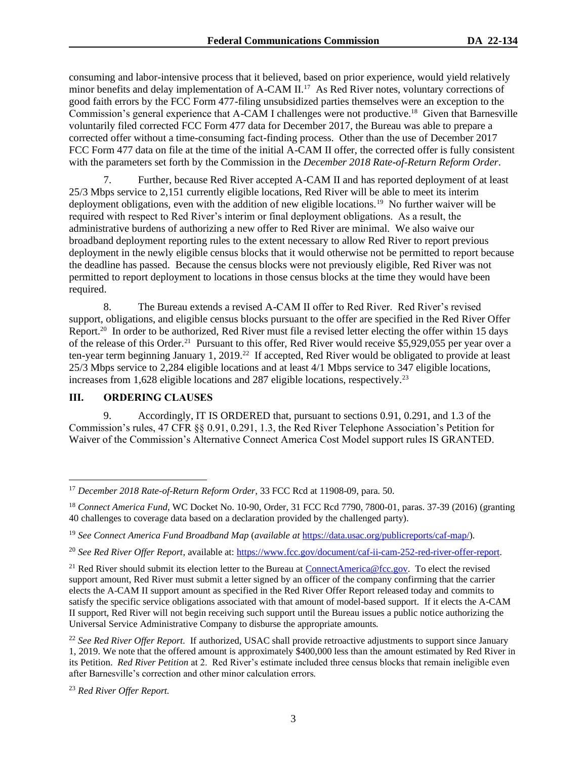consuming and labor-intensive process that it believed, based on prior experience, would yield relatively minor benefits and delay implementation of A-CAM II.<sup>17</sup> As Red River notes, voluntary corrections of good faith errors by the FCC Form 477-filing unsubsidized parties themselves were an exception to the Commission's general experience that A-CAM I challenges were not productive.<sup>18</sup> Given that Barnesville voluntarily filed corrected FCC Form 477 data for December 2017, the Bureau was able to prepare a corrected offer without a time-consuming fact-finding process. Other than the use of December 2017 FCC Form 477 data on file at the time of the initial A-CAM II offer, the corrected offer is fully consistent with the parameters set forth by the Commission in the *December 2018 Rate-of-Return Reform Order*.

7. Further, because Red River accepted A-CAM II and has reported deployment of at least 25/3 Mbps service to 2,151 currently eligible locations, Red River will be able to meet its interim deployment obligations, even with the addition of new eligible locations.<sup>19</sup> No further waiver will be required with respect to Red River's interim or final deployment obligations. As a result, the administrative burdens of authorizing a new offer to Red River are minimal. We also waive our broadband deployment reporting rules to the extent necessary to allow Red River to report previous deployment in the newly eligible census blocks that it would otherwise not be permitted to report because the deadline has passed. Because the census blocks were not previously eligible, Red River was not permitted to report deployment to locations in those census blocks at the time they would have been required.

8. The Bureau extends a revised A-CAM II offer to Red River. Red River's revised support, obligations, and eligible census blocks pursuant to the offer are specified in the Red River Offer Report.<sup>20</sup> In order to be authorized, Red River must file a revised letter electing the offer within 15 days of the release of this Order.<sup>21</sup> Pursuant to this offer, Red River would receive \$5,929,055 per year over a ten-year term beginning January 1, 2019.<sup>22</sup> If accepted, Red River would be obligated to provide at least 25/3 Mbps service to 2,284 eligible locations and at least 4/1 Mbps service to 347 eligible locations, increases from 1,628 eligible locations and 287 eligible locations, respectively.<sup>23</sup>

## **III. ORDERING CLAUSES**

9. Accordingly, IT IS ORDERED that, pursuant to sections 0.91, 0.291, and 1.3 of the Commission's rules, 47 CFR §§ 0.91, 0.291, 1.3, the Red River Telephone Association's Petition for Waiver of the Commission's Alternative Connect America Cost Model support rules IS GRANTED.

<sup>17</sup> *December 2018 Rate-of-Return Reform Order*, 33 FCC Rcd at 11908-09, para. 50.

<sup>18</sup> *Connect America Fund*, WC Docket No. 10-90, Order, 31 FCC Rcd 7790, 7800-01, paras. 37-39 (2016) (granting 40 challenges to coverage data based on a declaration provided by the challenged party).

<sup>19</sup> *See Connect America Fund Broadband Map* (*available at* [https://data.usac.org/publicreports/caf-map/\)](https://data.usac.org/publicreports/caf-map/)*.*

<sup>20</sup> *See Red River Offer Report*, available at: [https://www.fcc.gov/document/caf-ii-cam-252-red-river-offer-report.](https://www.fcc.gov/document/caf-ii-cam-252-red-river-offer-report)

<sup>&</sup>lt;sup>21</sup> Red River should submit its election letter to the Bureau a[t ConnectAmerica@fcc.gov.](mailto:ConnectAmerica@fcc.gov) To elect the revised support amount, Red River must submit a letter signed by an officer of the company confirming that the carrier elects the A-CAM II support amount as specified in the Red River Offer Report released today and commits to satisfy the specific service obligations associated with that amount of model-based support. If it elects the A-CAM II support, Red River will not begin receiving such support until the Bureau issues a public notice authorizing the Universal Service Administrative Company to disburse the appropriate amounts.

<sup>&</sup>lt;sup>22</sup> See Red River Offer Report. If authorized, USAC shall provide retroactive adjustments to support since January 1, 2019. We note that the offered amount is approximately \$400,000 less than the amount estimated by Red River in its Petition. *Red River Petition* at 2. Red River's estimate included three census blocks that remain ineligible even after Barnesville's correction and other minor calculation errors.

<sup>23</sup> *Red River Offer Report.*